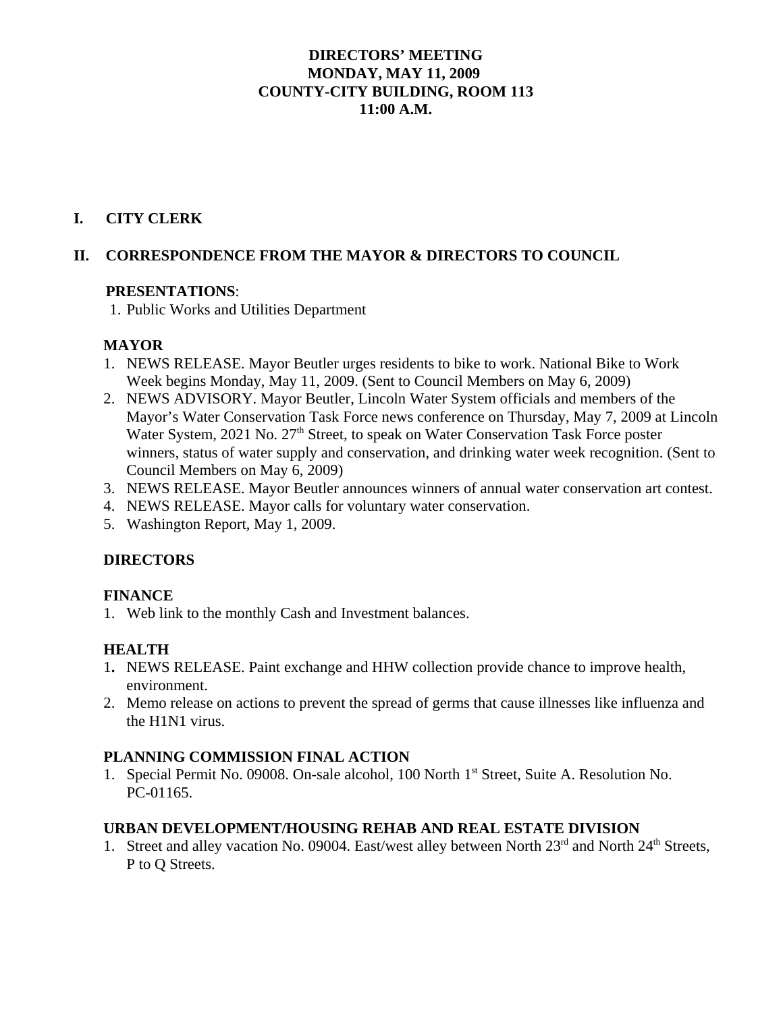#### **DIRECTORS' MEETING MONDAY, MAY 11, 2009 COUNTY-CITY BUILDING, ROOM 113 11:00 A.M.**

#### **I. CITY CLERK**

#### **II. CORRESPONDENCE FROM THE MAYOR & DIRECTORS TO COUNCIL**

#### **PRESENTATIONS**:

1. Public Works and Utilities Department

#### **MAYOR**

- 1. NEWS RELEASE. Mayor Beutler urges residents to bike to work. National Bike to Work Week begins Monday, May 11, 2009. (Sent to Council Members on May 6, 2009)
- 2. NEWS ADVISORY. Mayor Beutler, Lincoln Water System officials and members of the Mayor's Water Conservation Task Force news conference on Thursday, May 7, 2009 at Lincoln Water System, 2021 No. 27<sup>th</sup> Street, to speak on Water Conservation Task Force poster winners, status of water supply and conservation, and drinking water week recognition. (Sent to Council Members on May 6, 2009)
- 3. NEWS RELEASE. Mayor Beutler announces winners of annual water conservation art contest.
- 4. NEWS RELEASE. Mayor calls for voluntary water conservation.
- 5. Washington Report, May 1, 2009.

#### **DIRECTORS**

#### **FINANCE**

1. Web link to the monthly Cash and Investment balances.

#### **HEALTH**

- 1**.** NEWS RELEASE. Paint exchange and HHW collection provide chance to improve health, environment.
- 2. Memo release on actions to prevent the spread of germs that cause illnesses like influenza and the H1N1 virus.

#### **PLANNING COMMISSION FINAL ACTION**

1. Special Permit No. 09008. On-sale alcohol, 100 North 1<sup>st</sup> Street, Suite A. Resolution No. PC-01165.

#### **URBAN DEVELOPMENT/HOUSING REHAB AND REAL ESTATE DIVISION**

1. Street and alley vacation No. 09004. East/west alley between North 23<sup>rd</sup> and North 24<sup>th</sup> Streets. P to Q Streets.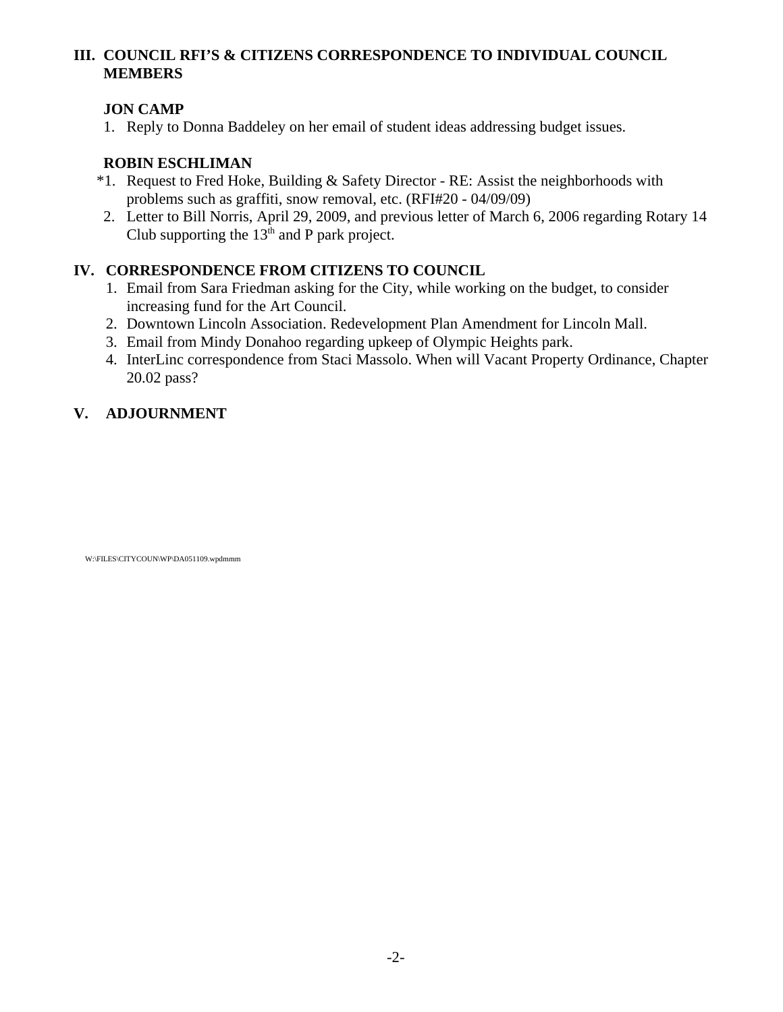#### **III. COUNCIL RFI'S & CITIZENS CORRESPONDENCE TO INDIVIDUAL COUNCIL MEMBERS**

#### **JON CAMP**

1. Reply to Donna Baddeley on her email of student ideas addressing budget issues.

#### **ROBIN ESCHLIMAN**

- \*1. Request to Fred Hoke, Building & Safety Director RE: Assist the neighborhoods with problems such as graffiti, snow removal, etc. (RFI#20 - 04/09/09)
- 2. Letter to Bill Norris, April 29, 2009, and previous letter of March 6, 2006 regarding Rotary 14 Club supporting the  $13<sup>th</sup>$  and P park project.

#### **IV. CORRESPONDENCE FROM CITIZENS TO COUNCIL**

- 1. Email from Sara Friedman asking for the City, while working on the budget, to consider increasing fund for the Art Council.
- 2. Downtown Lincoln Association. Redevelopment Plan Amendment for Lincoln Mall.
- 3. Email from Mindy Donahoo regarding upkeep of Olympic Heights park.
- 4. InterLinc correspondence from Staci Massolo. When will Vacant Property Ordinance, Chapter 20.02 pass?

#### **V. ADJOURNMENT**

W:\FILES\CITYCOUN\WP\DA051109.wpdmmm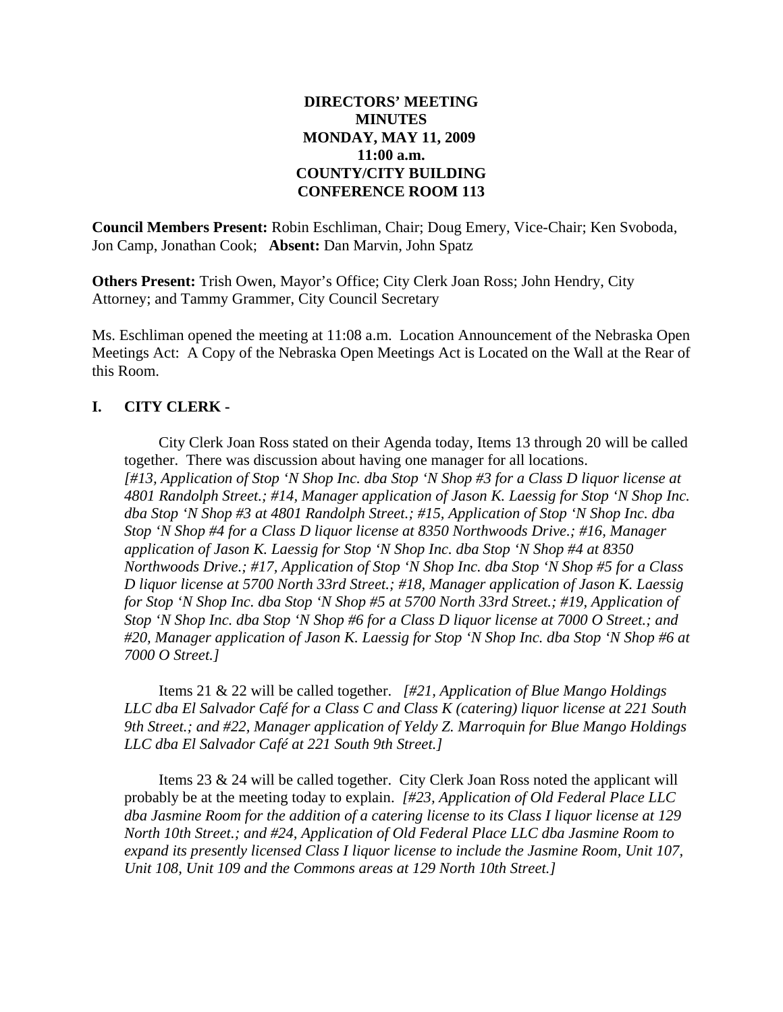#### **DIRECTORS' MEETING MINUTES MONDAY, MAY 11, 2009 11:00 a.m. COUNTY/CITY BUILDING CONFERENCE ROOM 113**

**Council Members Present:** Robin Eschliman, Chair; Doug Emery, Vice-Chair; Ken Svoboda, Jon Camp, Jonathan Cook; **Absent:** Dan Marvin, John Spatz

**Others Present:** Trish Owen, Mayor's Office; City Clerk Joan Ross; John Hendry, City Attorney; and Tammy Grammer, City Council Secretary

Ms. Eschliman opened the meeting at 11:08 a.m. Location Announcement of the Nebraska Open Meetings Act: A Copy of the Nebraska Open Meetings Act is Located on the Wall at the Rear of this Room.

#### **I. CITY CLERK -**

City Clerk Joan Ross stated on their Agenda today, Items 13 through 20 will be called together. There was discussion about having one manager for all locations. *[#13, Application of Stop 'N Shop Inc. dba Stop 'N Shop #3 for a Class D liquor license at 4801 Randolph Street.; #14, Manager application of Jason K. Laessig for Stop 'N Shop Inc. dba Stop 'N Shop #3 at 4801 Randolph Street.; #15, Application of Stop 'N Shop Inc. dba Stop 'N Shop #4 for a Class D liquor license at 8350 Northwoods Drive.; #16, Manager application of Jason K. Laessig for Stop 'N Shop Inc. dba Stop 'N Shop #4 at 8350 Northwoods Drive.; #17, Application of Stop 'N Shop Inc. dba Stop 'N Shop #5 for a Class D liquor license at 5700 North 33rd Street.; #18, Manager application of Jason K. Laessig for Stop 'N Shop Inc. dba Stop 'N Shop #5 at 5700 North 33rd Street.; #19, Application of Stop 'N Shop Inc. dba Stop 'N Shop #6 for a Class D liquor license at 7000 O Street.; and #20, Manager application of Jason K. Laessig for Stop 'N Shop Inc. dba Stop 'N Shop #6 at 7000 O Street.]*

Items 21 & 22 will be called together. *[#21, Application of Blue Mango Holdings LLC dba El Salvador Café for a Class C and Class K (catering) liquor license at 221 South 9th Street.; and #22, Manager application of Yeldy Z. Marroquin for Blue Mango Holdings LLC dba El Salvador Café at 221 South 9th Street.]*

Items 23 & 24 will be called together. City Clerk Joan Ross noted the applicant will probably be at the meeting today to explain. *[#23, Application of Old Federal Place LLC dba Jasmine Room for the addition of a catering license to its Class I liquor license at 129 North 10th Street.; and #24, Application of Old Federal Place LLC dba Jasmine Room to expand its presently licensed Class I liquor license to include the Jasmine Room, Unit 107, Unit 108, Unit 109 and the Commons areas at 129 North 10th Street.]*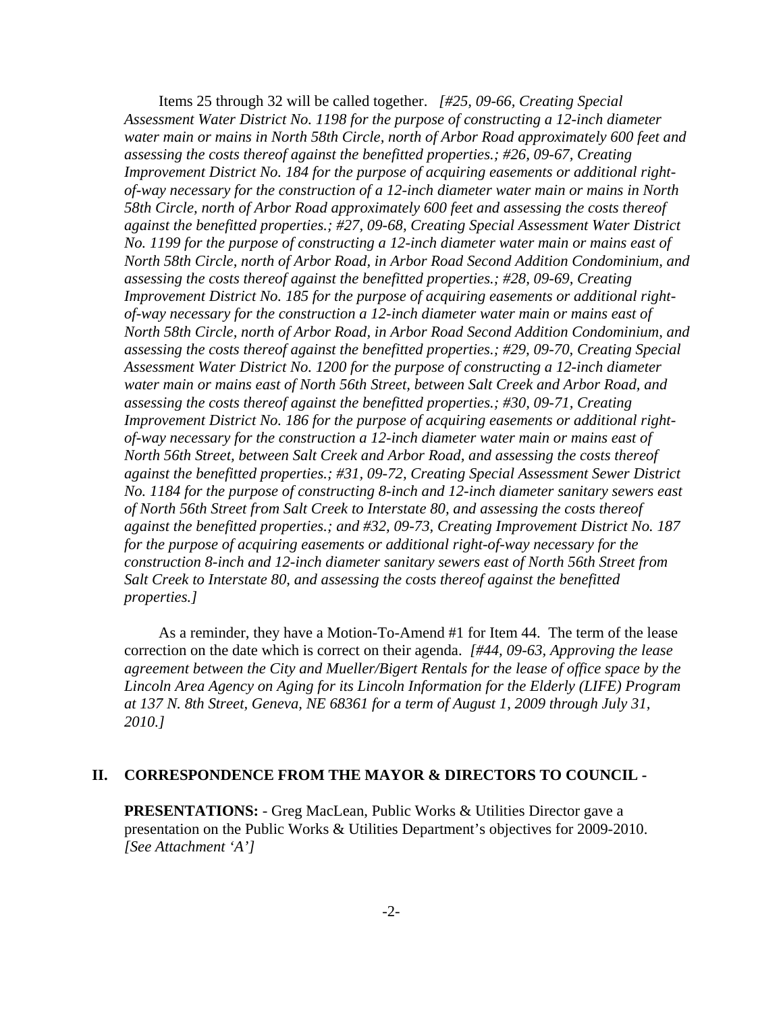Items 25 through 32 will be called together. *[#25, 09-66, Creating Special Assessment Water District No. 1198 for the purpose of constructing a 12-inch diameter water main or mains in North 58th Circle, north of Arbor Road approximately 600 feet and assessing the costs thereof against the benefitted properties.; #26, 09-67, Creating Improvement District No. 184 for the purpose of acquiring easements or additional rightof-way necessary for the construction of a 12-inch diameter water main or mains in North 58th Circle, north of Arbor Road approximately 600 feet and assessing the costs thereof against the benefitted properties.; #27, 09-68, Creating Special Assessment Water District No. 1199 for the purpose of constructing a 12-inch diameter water main or mains east of North 58th Circle, north of Arbor Road, in Arbor Road Second Addition Condominium, and assessing the costs thereof against the benefitted properties.; #28, 09-69, Creating Improvement District No. 185 for the purpose of acquiring easements or additional rightof-way necessary for the construction a 12-inch diameter water main or mains east of North 58th Circle, north of Arbor Road, in Arbor Road Second Addition Condominium, and assessing the costs thereof against the benefitted properties.; #29, 09-70, Creating Special Assessment Water District No. 1200 for the purpose of constructing a 12-inch diameter water main or mains east of North 56th Street, between Salt Creek and Arbor Road, and assessing the costs thereof against the benefitted properties.; #30, 09-71, Creating Improvement District No. 186 for the purpose of acquiring easements or additional rightof-way necessary for the construction a 12-inch diameter water main or mains east of North 56th Street, between Salt Creek and Arbor Road, and assessing the costs thereof against the benefitted properties.; #31, 09-72, Creating Special Assessment Sewer District No. 1184 for the purpose of constructing 8-inch and 12-inch diameter sanitary sewers east of North 56th Street from Salt Creek to Interstate 80, and assessing the costs thereof against the benefitted properties.; and #32, 09-73, Creating Improvement District No. 187 for the purpose of acquiring easements or additional right-of-way necessary for the construction 8-inch and 12-inch diameter sanitary sewers east of North 56th Street from Salt Creek to Interstate 80, and assessing the costs thereof against the benefitted properties.]*

As a reminder, they have a Motion-To-Amend #1 for Item 44. The term of the lease correction on the date which is correct on their agenda. *[#44, 09-63, Approving the lease agreement between the City and Mueller/Bigert Rentals for the lease of office space by the Lincoln Area Agency on Aging for its Lincoln Information for the Elderly (LIFE) Program at 137 N. 8th Street, Geneva, NE 68361 for a term of August 1, 2009 through July 31, 2010.]*

#### **II. CORRESPONDENCE FROM THE MAYOR & DIRECTORS TO COUNCIL -**

**PRESENTATIONS:** - Greg MacLean, Public Works & Utilities Director gave a presentation on the Public Works & Utilities Department's objectives for 2009-2010. *[See Attachment 'A']*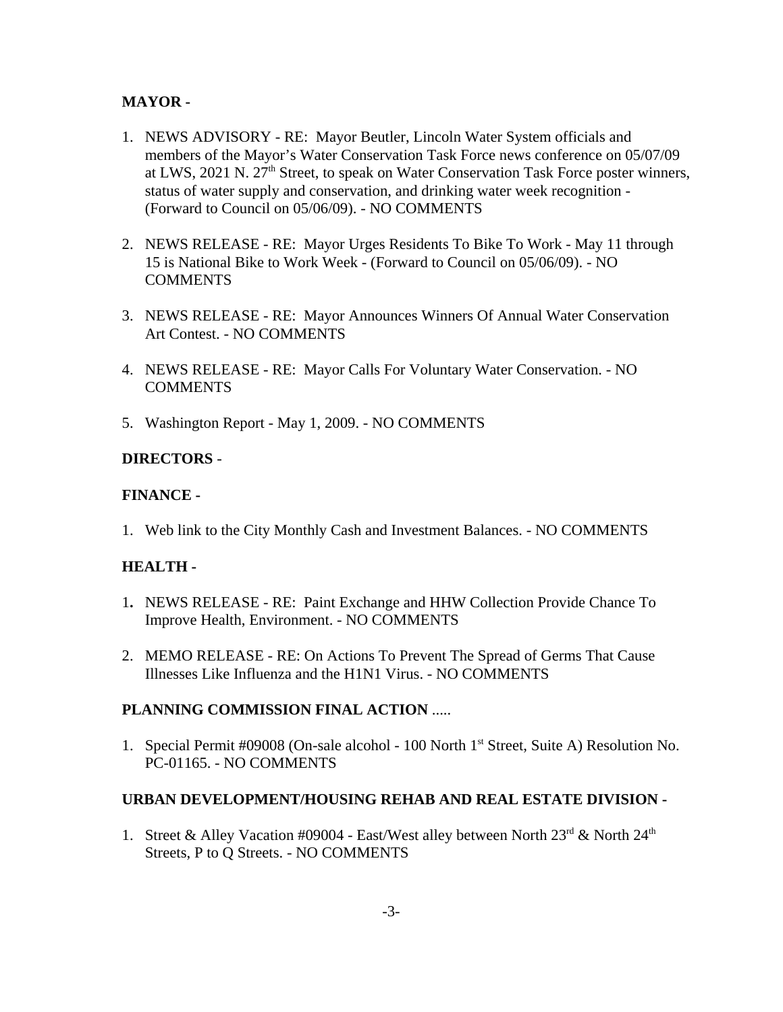#### **MAYOR -**

- 1. NEWS ADVISORY RE: Mayor Beutler, Lincoln Water System officials and members of the Mayor's Water Conservation Task Force news conference on 05/07/09 at LWS, 2021 N.  $27<sup>th</sup>$  Street, to speak on Water Conservation Task Force poster winners, status of water supply and conservation, and drinking water week recognition - (Forward to Council on 05/06/09). - NO COMMENTS
- 2. NEWS RELEASE RE: Mayor Urges Residents To Bike To Work May 11 through 15 is National Bike to Work Week - (Forward to Council on 05/06/09). - NO **COMMENTS**
- 3. NEWS RELEASE RE: Mayor Announces Winners Of Annual Water Conservation Art Contest. - NO COMMENTS
- 4. NEWS RELEASE RE: Mayor Calls For Voluntary Water Conservation. NO COMMENTS
- 5. Washington Report May 1, 2009. NO COMMENTS

#### **DIRECTORS** -

#### **FINANCE -**

1. Web link to the City Monthly Cash and Investment Balances. - NO COMMENTS

#### **HEALTH -**

- 1**.** NEWS RELEASE RE: Paint Exchange and HHW Collection Provide Chance To Improve Health, Environment. - NO COMMENTS
- 2. MEMO RELEASE RE: On Actions To Prevent The Spread of Germs That Cause Illnesses Like Influenza and the H1N1 Virus. - NO COMMENTS

#### **PLANNING COMMISSION FINAL ACTION** .....

1. Special Permit #09008 (On-sale alcohol - 100 North 1st Street, Suite A) Resolution No. PC-01165. - NO COMMENTS

#### **URBAN DEVELOPMENT/HOUSING REHAB AND REAL ESTATE DIVISION -**

1. Street & Alley Vacation #09004 - East/West alley between North  $23^{\text{rd}}$  & North  $24^{\text{th}}$ Streets, P to Q Streets. - NO COMMENTS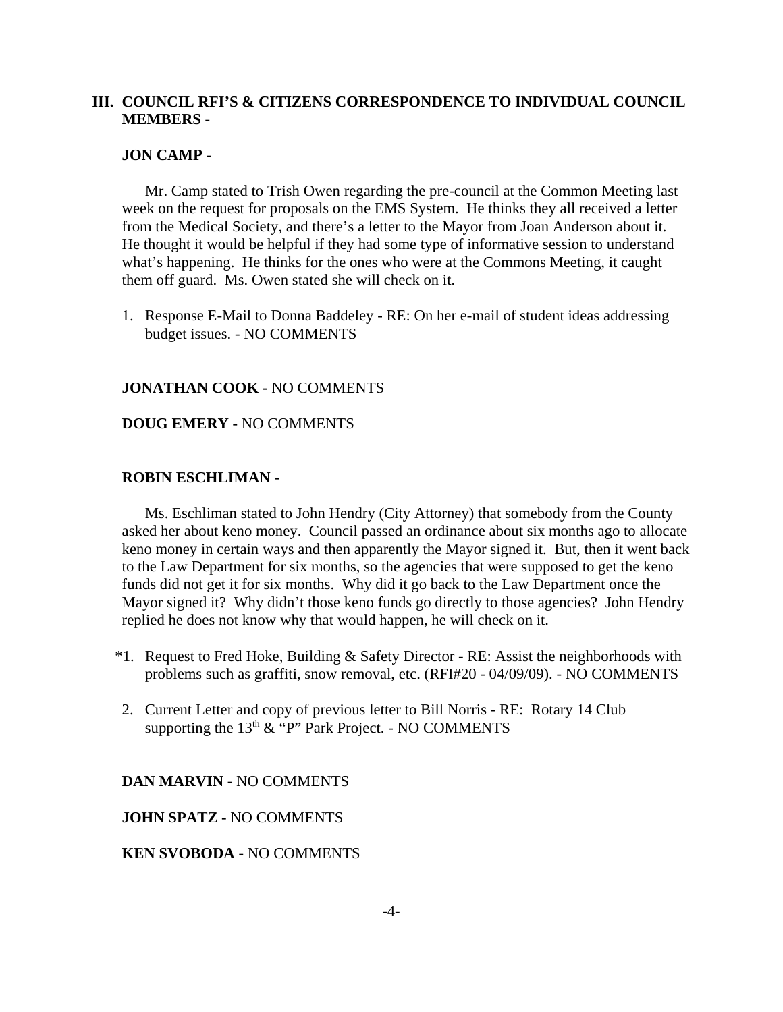#### **III. COUNCIL RFI'S & CITIZENS CORRESPONDENCE TO INDIVIDUAL COUNCIL MEMBERS -**

#### **JON CAMP -**

Mr. Camp stated to Trish Owen regarding the pre-council at the Common Meeting last week on the request for proposals on the EMS System. He thinks they all received a letter from the Medical Society, and there's a letter to the Mayor from Joan Anderson about it. He thought it would be helpful if they had some type of informative session to understand what's happening. He thinks for the ones who were at the Commons Meeting, it caught them off guard. Ms. Owen stated she will check on it.

1. Response E-Mail to Donna Baddeley - RE: On her e-mail of student ideas addressing budget issues. - NO COMMENTS

#### **JONATHAN COOK -** NO COMMENTS

#### **DOUG EMERY -** NO COMMENTS

#### **ROBIN ESCHLIMAN -**

Ms. Eschliman stated to John Hendry (City Attorney) that somebody from the County asked her about keno money. Council passed an ordinance about six months ago to allocate keno money in certain ways and then apparently the Mayor signed it. But, then it went back to the Law Department for six months, so the agencies that were supposed to get the keno funds did not get it for six months. Why did it go back to the Law Department once the Mayor signed it? Why didn't those keno funds go directly to those agencies? John Hendry replied he does not know why that would happen, he will check on it.

- \*1. Request to Fred Hoke, Building & Safety Director RE: Assist the neighborhoods with problems such as graffiti, snow removal, etc. (RFI#20 - 04/09/09). - NO COMMENTS
- 2. Current Letter and copy of previous letter to Bill Norris RE: Rotary 14 Club supporting the  $13<sup>th</sup>$  & "P" Park Project. - NO COMMENTS

**DAN MARVIN -** NO COMMENTS

**JOHN SPATZ -** NO COMMENTS

#### **KEN SVOBODA -** NO COMMENTS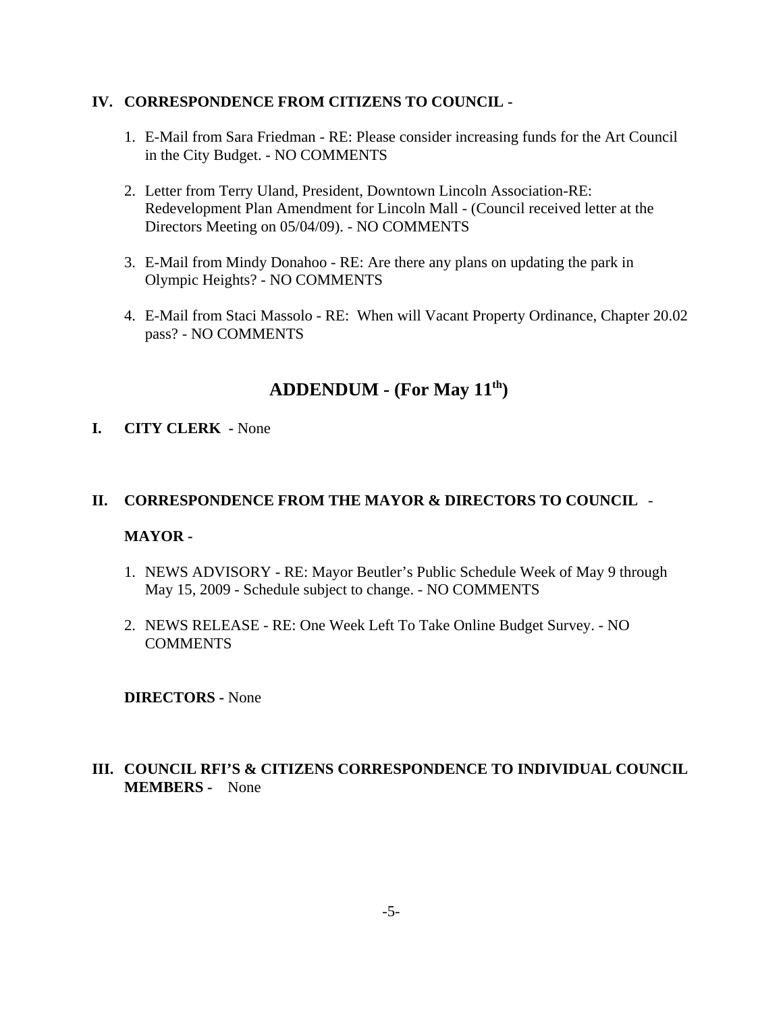#### **IV. CORRESPONDENCE FROM CITIZENS TO COUNCIL -**

- 1. E-Mail from Sara Friedman RE: Please consider increasing funds for the Art Council in the City Budget. - NO COMMENTS
- 2. Letter from Terry Uland, President, Downtown Lincoln Association-RE: Redevelopment Plan Amendment for Lincoln Mall - (Council received letter at the Directors Meeting on 05/04/09). - NO COMMENTS
- 3. E-Mail from Mindy Donahoo RE: Are there any plans on updating the park in Olympic Heights? - NO COMMENTS
- 4. E-Mail from Staci Massolo RE: When will Vacant Property Ordinance, Chapter 20.02 pass? - NO COMMENTS

#### **ADDENDUM - (For May 11th)**

#### **I. CITY CLERK -** None

#### **II. CORRESPONDENCE FROM THE MAYOR & DIRECTORS TO COUNCIL** -

#### **MAYOR -**

- 1. NEWS ADVISORY RE: Mayor Beutler's Public Schedule Week of May 9 through May 15, 2009 - Schedule subject to change. - NO COMMENTS
- 2. NEWS RELEASE RE: One Week Left To Take Online Budget Survey. NO COMMENTS

**DIRECTORS -** None

#### **III. COUNCIL RFI'S & CITIZENS CORRESPONDENCE TO INDIVIDUAL COUNCIL MEMBERS -** None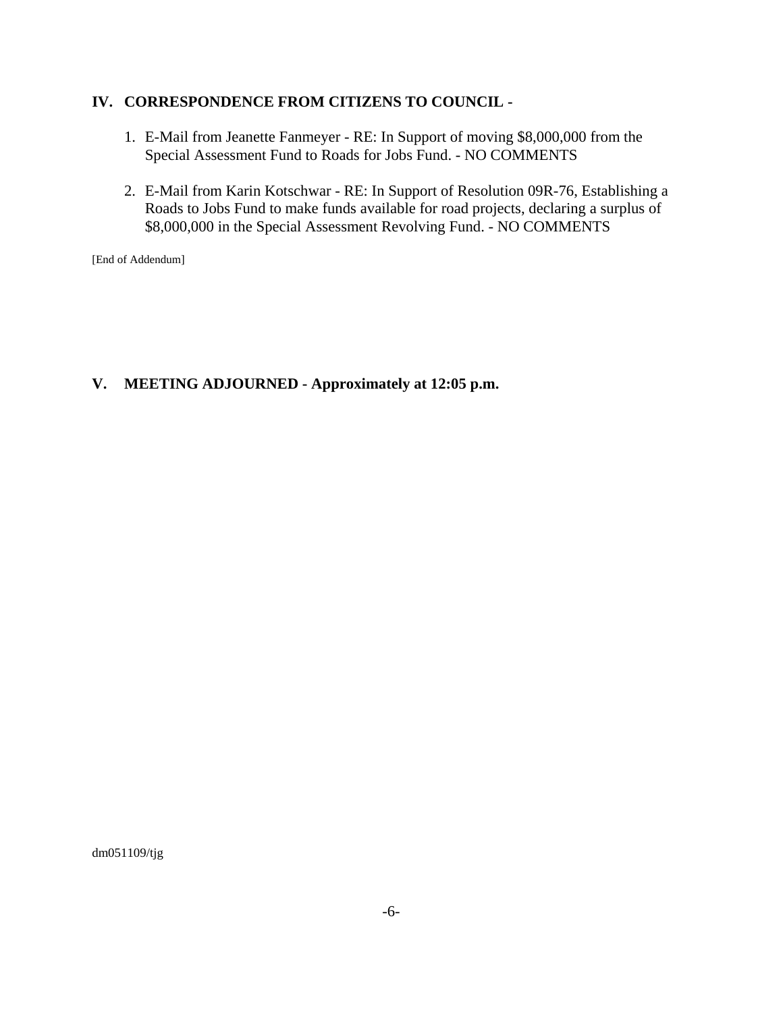#### **IV. CORRESPONDENCE FROM CITIZENS TO COUNCIL -**

- 1. E-Mail from Jeanette Fanmeyer RE: In Support of moving \$8,000,000 from the Special Assessment Fund to Roads for Jobs Fund. - NO COMMENTS
- 2. E-Mail from Karin Kotschwar RE: In Support of Resolution 09R-76, Establishing a Roads to Jobs Fund to make funds available for road projects, declaring a surplus of \$8,000,000 in the Special Assessment Revolving Fund. - NO COMMENTS

[End of Addendum]

#### **V. MEETING ADJOURNED - Approximately at 12:05 p.m.**

dm051109/tjg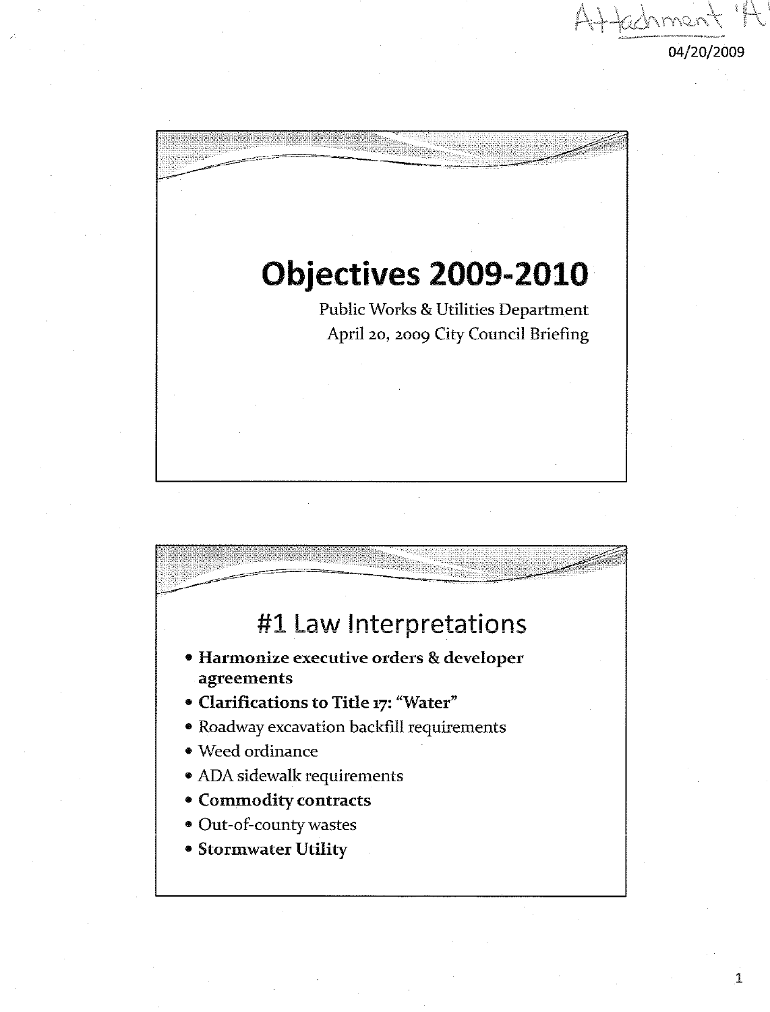

# **Objectives 2009-2010** Public Works & Utilities Department April 20, 2009 City Council Briefing



1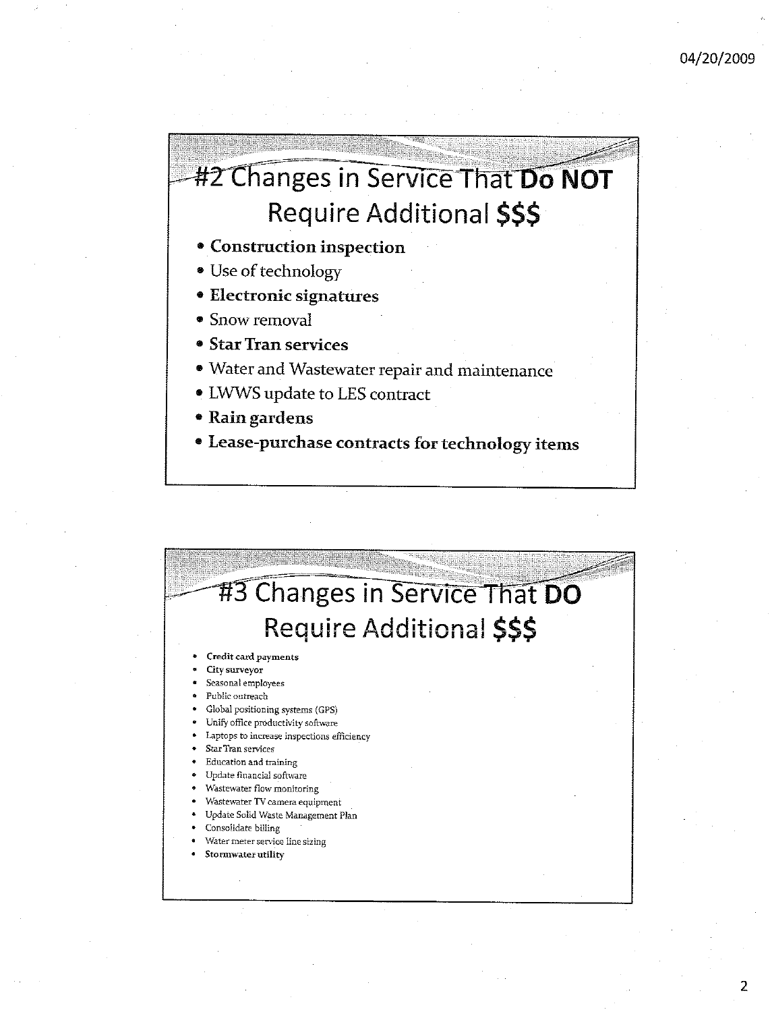## #2 Changes in Service That Do NOT Require Additional \$\$\$

- Construction inspection
- Use of technology
- Electronic signatures
- Snow removal
- Star Tran services
- · Water and Wastewater repair and maintenance
- LWWS update to LES contract
- Rain gardens
- · Lease-purchase contracts for technology items

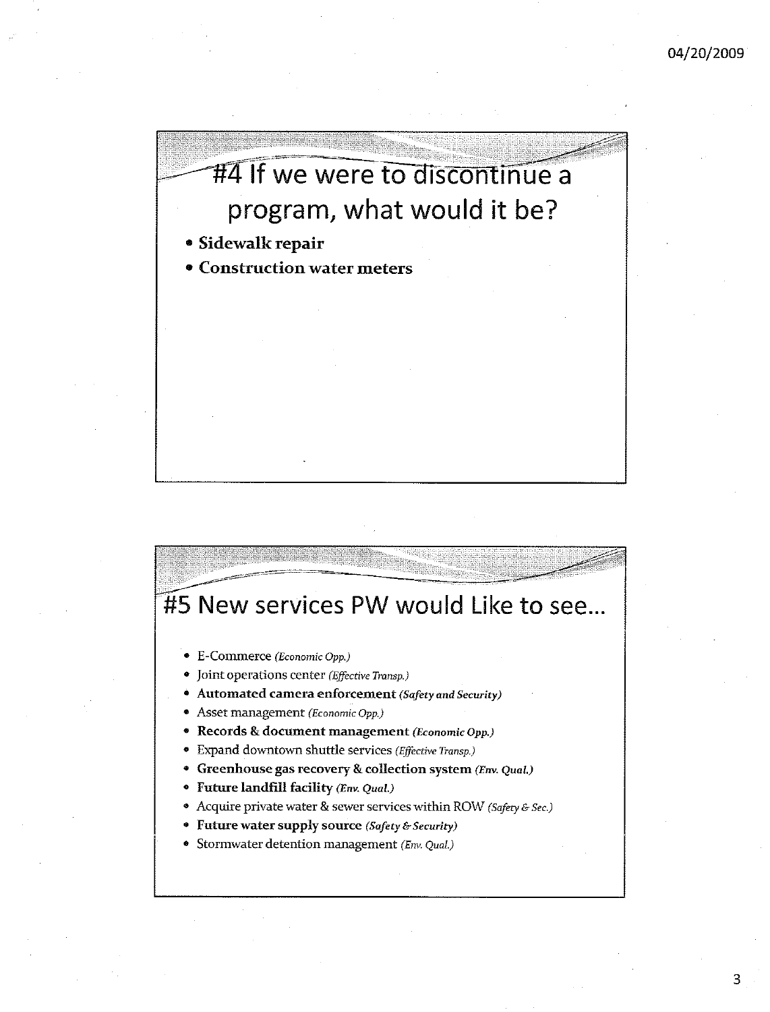

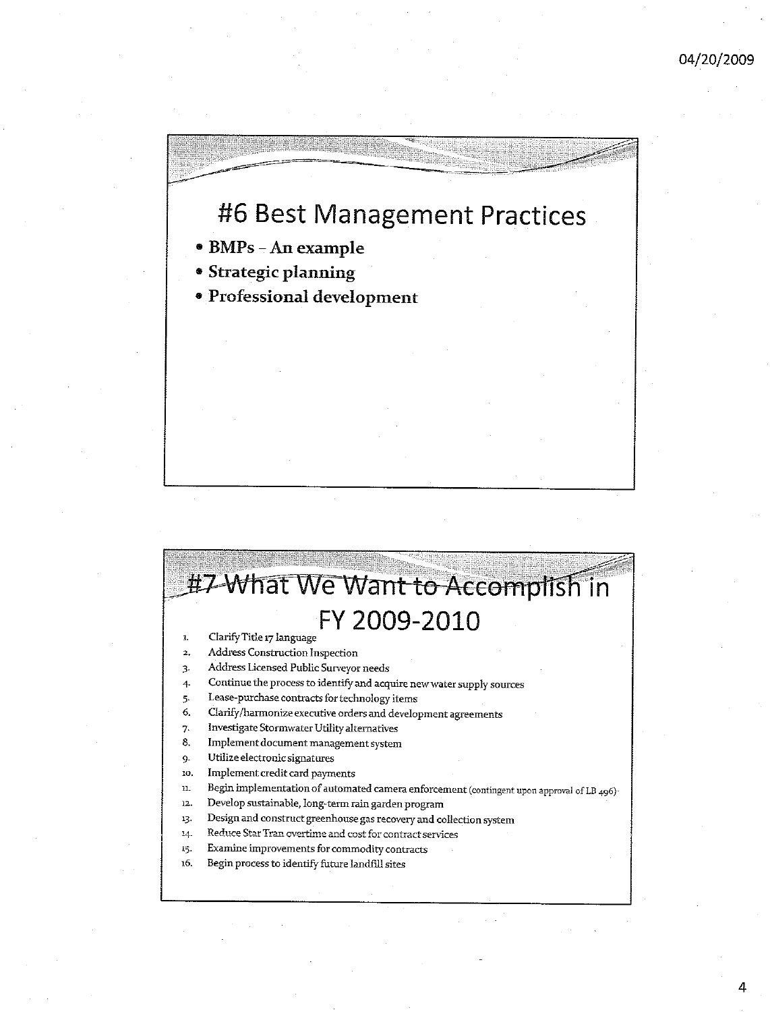### #6 Best Management Practices

- BMPs An example
- **Strategic planning**
- Professional development

#### #7 What We Want to Accomplish in FY 2009-2010 Clarify Title 17 language  $\mathbf{I}$

- $\overline{\mathbf{2}}$ Address Construction Inspection
- Address Licensed Public Surveyor needs  $\overline{3}$
- Continue the process to identify and acquire new water supply sources  $\overline{4}$
- Lease-purchase contracts for technology items 5.
- Clarify/harmonize executive orders and development agreements 6.
- Investigate Stormwater Utility alternatives 7.
- Implement document management system 8.
- Utilize electronic signatures 9.
- 10. Implement credit card payments
- Begin implementation of automated camera enforcement (contingent upon approval of LB 496)n.
- $12.$ Develop sustainable, long-term rain garden program
- Design and construct greenhouse gas recovery and collection system 13.
- Reduce Star Tran overtime and cost for contract services  $^{14}$
- Examine improvements for commodity contracts 15.
- Begin process to identify future landfill sites 16.